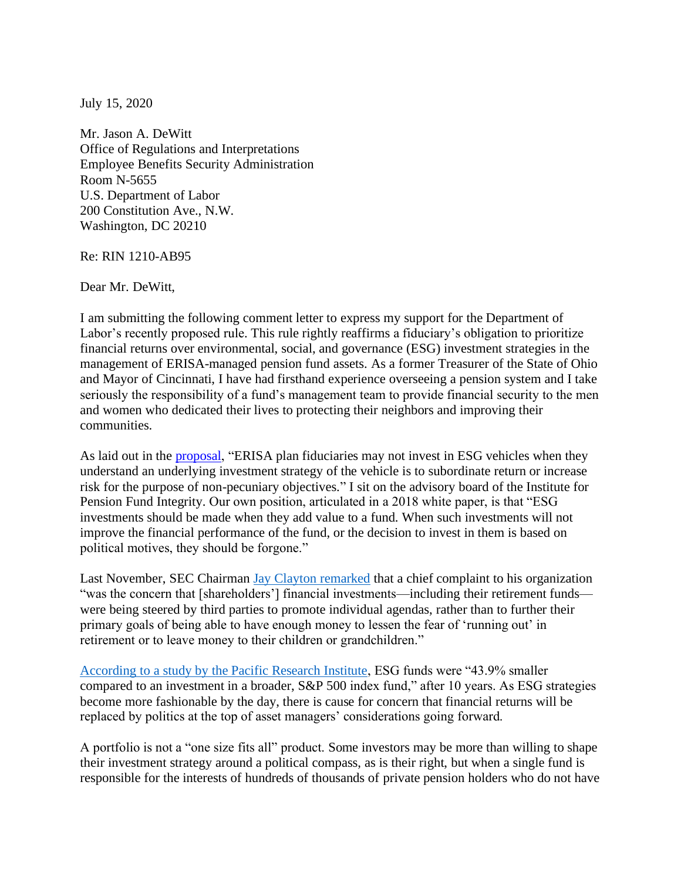July 15, 2020

Mr. Jason A. DeWitt Office of Regulations and Interpretations Employee Benefits Security Administration Room N-5655 U.S. Department of Labor 200 Constitution Ave., N.W. Washington, DC 20210

Re: RIN 1210-AB95

Dear Mr. DeWitt,

I am submitting the following comment letter to express my support for the Department of Labor's recently proposed rule. This rule rightly reaffirms a fiduciary's obligation to prioritize financial returns over environmental, social, and governance (ESG) investment strategies in the management of ERISA-managed pension fund assets. As a former Treasurer of the State of Ohio and Mayor of Cincinnati, I have had firsthand experience overseeing a pension system and I take seriously the responsibility of a fund's management team to provide financial security to the men and women who dedicated their lives to protecting their neighbors and improving their communities.

As laid out in the [proposal,](https://www.regulations.gov/document?D=EBSA-2020-0004-0002) "ERISA plan fiduciaries may not invest in ESG vehicles when they understand an underlying investment strategy of the vehicle is to subordinate return or increase risk for the purpose of non-pecuniary objectives." I sit on the advisory board of the Institute for Pension Fund Integrity. Our own position, articulated in a 2018 white paper, is that "ESG investments should be made when they add value to a fund. When such investments will not improve the financial performance of the fund, or the decision to invest in them is based on political motives, they should be forgone."

Last November, SEC Chairman [Jay Clayton remarked](https://www.sec.gov/news/public-statement/statement-clayton-2019-11-05-open-meeting) that a chief complaint to his organization "was the concern that [shareholders'] financial investments—including their retirement funds were being steered by third parties to promote individual agendas, rather than to further their primary goals of being able to have enough money to lessen the fear of 'running out' in retirement or to leave money to their children or grandchildren."

[According to a study by the Pacific Research Institute,](https://www.pacificresearch.org/new-study-finds-esg-funds-underperform-broader-investment-funds-over-long-term/) ESG funds were "43.9% smaller compared to an investment in a broader, S&P 500 index fund," after 10 years. As ESG strategies become more fashionable by the day, there is cause for concern that financial returns will be replaced by politics at the top of asset managers' considerations going forward.

A portfolio is not a "one size fits all" product. Some investors may be more than willing to shape their investment strategy around a political compass, as is their right, but when a single fund is responsible for the interests of hundreds of thousands of private pension holders who do not have